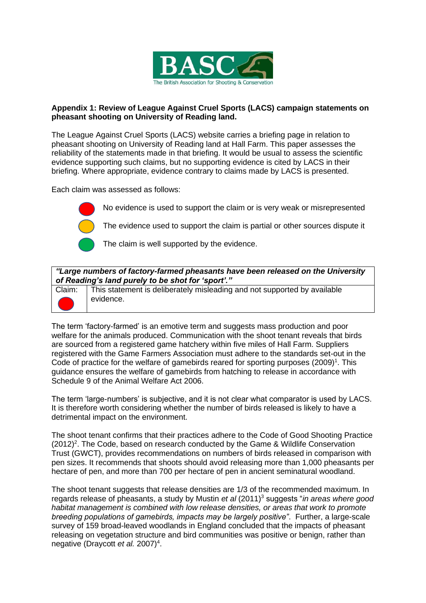

## **Appendix 1: Review of League Against Cruel Sports (LACS) campaign statements on pheasant shooting on University of Reading land.**

The League Against Cruel Sports (LACS) website carries a briefing page in relation to pheasant shooting on University of Reading land at Hall Farm. This paper assesses the reliability of the statements made in that briefing. It would be usual to assess the scientific evidence supporting such claims, but no supporting evidence is cited by LACS in their briefing. Where appropriate, evidence contrary to claims made by LACS is presented.

Each claim was assessed as follows:



No evidence is used to support the claim or is very weak or misrepresented

The evidence used to support the claim is partial or other sources dispute it

The claim is well supported by the evidence.

## *"Large numbers of factory-farmed pheasants have been released on the University of Reading's land purely to be shot for 'sport'."*

Claim: This statement is deliberately misleading and not supported by available evidence.

The term 'factory-farmed' is an emotive term and suggests mass production and poor welfare for the animals produced. Communication with the shoot tenant reveals that birds are sourced from a registered game hatchery within five miles of Hall Farm. Suppliers registered with the Game Farmers Association must adhere to the standards set-out in the Code of practice for the welfare of gamebirds reared for sporting purposes  $(2009)^1$ . This guidance ensures the welfare of gamebirds from hatching to release in accordance with Schedule 9 of the Animal Welfare Act 2006.

The term 'large-numbers' is subjective, and it is not clear what comparator is used by LACS. It is therefore worth considering whether the number of birds released is likely to have a detrimental impact on the environment.

The shoot tenant confirms that their practices adhere to the Code of Good Shooting Practice  $(2012)^2$ . The Code, based on research conducted by the Game & Wildlife Conservation Trust (GWCT), provides recommendations on numbers of birds released in comparison with pen sizes. It recommends that shoots should avoid releasing more than 1,000 pheasants per hectare of pen, and more than 700 per hectare of pen in ancient seminatural woodland.

The shoot tenant suggests that release densities are 1/3 of the recommended maximum. In regards release of pheasants, a study by Mustin *et al* (2011)<sup>3</sup> suggests "*in areas where good habitat management is combined with low release densities, or areas that work to promote breeding populations of gamebirds, impacts may be largely positive"*. Further, a large-scale survey of 159 broad-leaved woodlands in England concluded that the impacts of pheasant releasing on vegetation structure and bird communities was positive or benign, rather than negative (Draycott *et al.* 2007)<sup>4</sup>.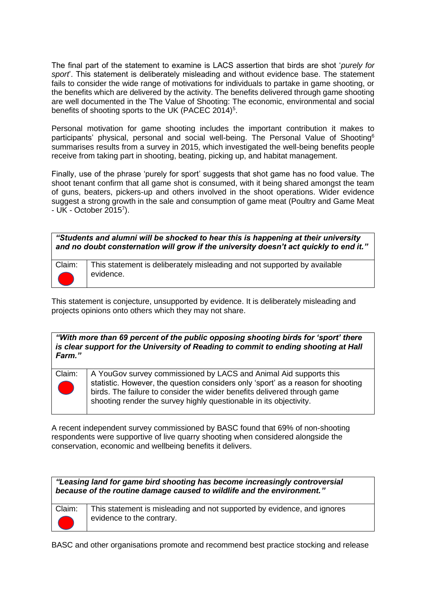The final part of the statement to examine is LACS assertion that birds are shot '*purely for sport*'. This statement is deliberately misleading and without evidence base. The statement fails to consider the wide range of motivations for individuals to partake in game shooting, or the benefits which are delivered by the activity. The benefits delivered through game shooting are well documented in the The Value of Shooting: The economic, environmental and social benefits of shooting sports to the UK (PACEC 2014)<sup>5</sup>.

Personal motivation for game shooting includes the important contribution it makes to participants' physical, personal and social well-being. The Personal Value of Shooting<sup>6</sup> summarises results from a survey in 2015, which investigated the well-being benefits people receive from taking part in shooting, beating, picking up, and habitat management.

Finally, use of the phrase 'purely for sport' suggests that shot game has no food value. The shoot tenant confirm that all game shot is consumed, with it being shared amongst the team of guns, beaters, pickers-up and others involved in the shoot operations. Wider evidence suggest a strong growth in the sale and consumption of game meat (Poultry and Game Meat - UK - October 2015<sup>7</sup>).

| "Students and alumni will be shocked to hear this is happening at their university     |
|----------------------------------------------------------------------------------------|
| and no doubt consternation will grow if the university doesn't act quickly to end it." |



This statement is conjecture, unsupported by evidence. It is deliberately misleading and projects opinions onto others which they may not share.

## *"With more than 69 percent of the public opposing shooting birds for 'sport' there is clear support for the University of Reading to commit to ending shooting at Hall Farm."*

Claim: A YouGov survey commissioned by LACS and Animal Aid supports this statistic. However, the question considers only 'sport' as a reason for shooting birds. The failure to consider the wider benefits delivered through game shooting render the survey highly questionable in its objectivity.

A recent independent survey commissioned by BASC found that 69% of non-shooting respondents were supportive of live quarry shooting when considered alongside the conservation, economic and wellbeing benefits it delivers.

*"Leasing land for game bird shooting has become increasingly controversial because of the routine damage caused to wildlife and the environment."*



Claim:  $\vert$  This statement is misleading and not supported by evidence, and ignores evidence to the contrary.

BASC and other organisations promote and recommend best practice stocking and release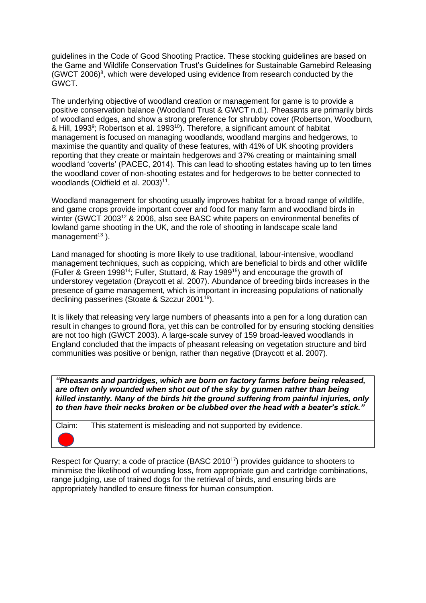guidelines in the Code of Good Shooting Practice. These stocking guidelines are based on the Game and Wildlife Conservation Trust's Guidelines for Sustainable Gamebird Releasing (GWCT 2006)<sup>8</sup>, which were developed using evidence from research conducted by the GWCT.

The underlying objective of woodland creation or management for game is to provide a positive conservation balance (Woodland Trust & GWCT n.d.). Pheasants are primarily birds of woodland edges, and show a strong preference for shrubby cover (Robertson, Woodburn, & Hill, 1993<sup>9</sup>; Robertson et al. 1993<sup>10</sup>). Therefore, a significant amount of habitat management is focused on managing woodlands, woodland margins and hedgerows, to maximise the quantity and quality of these features, with 41% of UK shooting providers reporting that they create or maintain hedgerows and 37% creating or maintaining small woodland 'coverts' (PACEC, 2014). This can lead to shooting estates having up to ten times the woodland cover of non-shooting estates and for hedgerows to be better connected to woodlands (Oldfield et al. 2003)<sup>11</sup>.

Woodland management for shooting usually improves habitat for a broad range of wildlife, and game crops provide important cover and food for many farm and woodland birds in winter (GWCT 2003<sup>12</sup> & 2006, also see BASC white papers on environmental benefits of lowland game shooting in the UK, and the role of shooting in landscape scale land management<sup>13</sup>).

Land managed for shooting is more likely to use traditional, labour-intensive, woodland management techniques, such as coppicing, which are beneficial to birds and other wildlife (Fuller & Green 1998<sup>14</sup>; Fuller, Stuttard, & Ray 1989<sup>15</sup>) and encourage the growth of understorey vegetation (Draycott et al. 2007). Abundance of breeding birds increases in the presence of game management, which is important in increasing populations of nationally declining passerines (Stoate & Szczur 2001<sup>16</sup>).

It is likely that releasing very large numbers of pheasants into a pen for a long duration can result in changes to ground flora, yet this can be controlled for by ensuring stocking densities are not too high (GWCT 2003). A large-scale survey of 159 broad-leaved woodlands in England concluded that the impacts of pheasant releasing on vegetation structure and bird communities was positive or benign, rather than negative (Draycott et al. 2007).

*"Pheasants and partridges, which are born on factory farms before being released, are often only wounded when shot out of the sky by gunmen rather than being killed instantly. Many of the birds hit the ground suffering from painful injuries, only to then have their necks broken or be clubbed over the head with a beater's stick."*

| Claim: This statement is misleading and not supported by evidence. |
|--------------------------------------------------------------------|
|                                                                    |
|                                                                    |
|                                                                    |
|                                                                    |
|                                                                    |

Respect for Quarry; a code of practice (BASC 2010<sup>17</sup>) provides guidance to shooters to minimise the likelihood of wounding loss, from appropriate gun and cartridge combinations, range judging, use of trained dogs for the retrieval of birds, and ensuring birds are appropriately handled to ensure fitness for human consumption.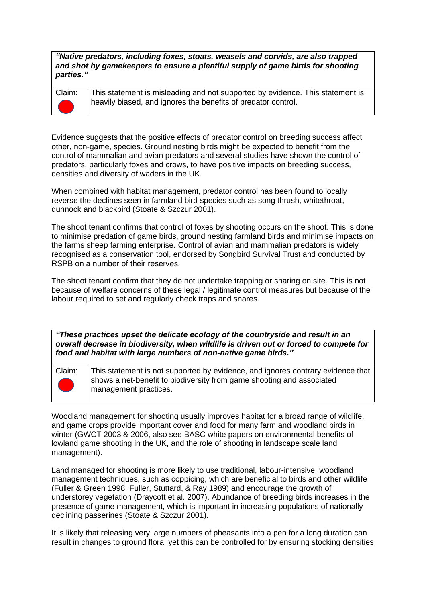*"Native predators, including [foxes,](https://www.league.org.uk/foxes) stoats, weasels and corvids, are also trapped and shot by gamekeepers to ensure a plentiful supply of game birds for shooting parties."*



Claim: This statement is misleading and not supported by evidence. This statement is heavily biased, and ignores the benefits of predator control.

Evidence suggests that the positive effects of predator control on breeding success affect other, non-game, species. Ground nesting birds might be expected to benefit from the control of mammalian and avian predators and several studies have shown the control of predators, particularly foxes and crows, to have positive impacts on breeding success, densities and diversity of waders in the UK.

When combined with habitat management, predator control has been found to locally reverse the declines seen in farmland bird species such as song thrush, whitethroat, dunnock and blackbird (Stoate & Szczur 2001).

The shoot tenant confirms that control of foxes by shooting occurs on the shoot. This is done to minimise predation of game birds, ground nesting farmland birds and minimise impacts on the farms sheep farming enterprise. Control of avian and mammalian predators is widely recognised as a conservation tool, endorsed by Songbird Survival Trust and conducted by RSPB on a number of their reserves.

The shoot tenant confirm that they do not undertake trapping or snaring on site. This is not because of welfare concerns of these legal / legitimate control measures but because of the labour required to set and regularly check traps and snares.

*"These practices upset the delicate ecology of the countryside and result in an overall decrease in biodiversity, when wildlife is driven out or forced to compete for food and habitat with large numbers of non-native game birds."*



Claim: This statement is not supported by evidence, and ignores contrary evidence that shows a net-benefit to biodiversity from game shooting and associated management practices.

Woodland management for shooting usually improves habitat for a broad range of wildlife, and game crops provide important cover and food for many farm and woodland birds in winter (GWCT 2003 & 2006, also see BASC white papers on environmental benefits of lowland game shooting in the UK, and the role of shooting in landscape scale land management).

Land managed for shooting is more likely to use traditional, labour-intensive, woodland management techniques, such as coppicing, which are beneficial to birds and other wildlife (Fuller & Green 1998; Fuller, Stuttard, & Ray 1989) and encourage the growth of understorey vegetation (Draycott et al. 2007). Abundance of breeding birds increases in the presence of game management, which is important in increasing populations of nationally declining passerines (Stoate & Szczur 2001).

It is likely that releasing very large numbers of pheasants into a pen for a long duration can result in changes to ground flora, yet this can be controlled for by ensuring stocking densities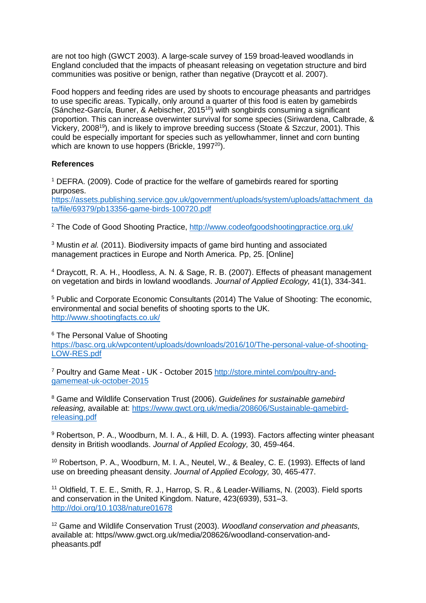are not too high (GWCT 2003). A large-scale survey of 159 broad-leaved woodlands in England concluded that the impacts of pheasant releasing on vegetation structure and bird communities was positive or benign, rather than negative (Draycott et al. 2007).

Food hoppers and feeding rides are used by shoots to encourage pheasants and partridges to use specific areas. Typically, only around a quarter of this food is eaten by gamebirds (Sánchez-García, Buner, & Aebischer, 2015<sup>18</sup>) with songbirds consuming a significant proportion. This can increase overwinter survival for some species (Siriwardena, Calbrade, & Vickery, 2008<sup>19</sup>), and is likely to improve breeding success (Stoate & Szczur, 2001). This could be especially important for species such as yellowhammer, linnet and corn bunting which are known to use hoppers (Brickle, 1997<sup>20</sup>).

## **References**

<sup>1</sup> DEFRA. (2009). Code of practice for the welfare of gamebirds reared for sporting purposes.

[https://assets.publishing.service.gov.uk/government/uploads/system/uploads/attachment\\_da](https://assets.publishing.service.gov.uk/government/uploads/system/uploads/attachment_data/file/69379/pb13356-game-birds-100720.pdf) [ta/file/69379/pb13356-game-birds-100720.pdf](https://assets.publishing.service.gov.uk/government/uploads/system/uploads/attachment_data/file/69379/pb13356-game-birds-100720.pdf)

<sup>2</sup> The Code of Good Shooting Practice,<http://www.codeofgoodshootingpractice.org.uk/>

<sup>3</sup> Mustin *et al.* (2011). Biodiversity impacts of game bird hunting and associated management practices in Europe and North America. Pp, 25. [Online]

<sup>4</sup> Draycott, R. A. H., Hoodless, A. N. & Sage, R. B. (2007). Effects of pheasant management on vegetation and birds in lowland woodlands. *Journal of Applied Ecology,* 41(1), 334-341.

<sup>5</sup> Public and Corporate Economic Consultants (2014) The Value of Shooting: The economic, environmental and social benefits of shooting sports to the UK. <http://www.shootingfacts.co.uk/>

<sup>6</sup> The Personal Value of Shooting

[https://basc.org.uk/wpcontent/uploads/downloads/2016/10/The-personal-value-of-shooting-](https://basc.org.uk/wpcontent/uploads/downloads/2016/10/The-personal-value-of-shooting-LOW-RES.pdf)[LOW-RES.pdf](https://basc.org.uk/wpcontent/uploads/downloads/2016/10/The-personal-value-of-shooting-LOW-RES.pdf)

<sup>7</sup> Poultry and Game Meat - UK - October 2015 [http://store.mintel.com/poultry-and](http://store.mintel.com/poultry-and-gamemeat-uk-october-2015)[gamemeat-uk-october-2015](http://store.mintel.com/poultry-and-gamemeat-uk-october-2015)

<sup>8</sup> Game and Wildlife Conservation Trust (2006). *Guidelines for sustainable gamebird releasing,* available at: [https://www.gwct.org.uk/media/208606/Sustainable-gamebird](https://www.gwct.org.uk/media/208606/Sustainable-gamebird-releasing.pdf)[releasing.pdf](https://www.gwct.org.uk/media/208606/Sustainable-gamebird-releasing.pdf)

<sup>9</sup> Robertson, P. A., Woodburn, M. I. A., & Hill, D. A. (1993). Factors affecting winter pheasant density in British woodlands. *Journal of Applied Ecology,* 30, 459-464.

<sup>10</sup> Robertson, P. A., Woodburn, M. I. A., Neutel, W., & Bealey, C. E. (1993). Effects of land use on breeding pheasant density. *Journal of Applied Ecology,* 30, 465-477.

<sup>11</sup> Oldfield, T. E. E., Smith, R. J., Harrop, S. R., & Leader-Williams, N. (2003). Field sports and conservation in the United Kingdom. Nature, 423(6939), 531–3. <http://doi.org/10.1038/nature01678>

<sup>12</sup> Game and Wildlife Conservation Trust (2003). *Woodland conservation and pheasants,*  available at: https//www.gwct.org.uk/media/208626/woodland-conservation-andpheasants.pdf